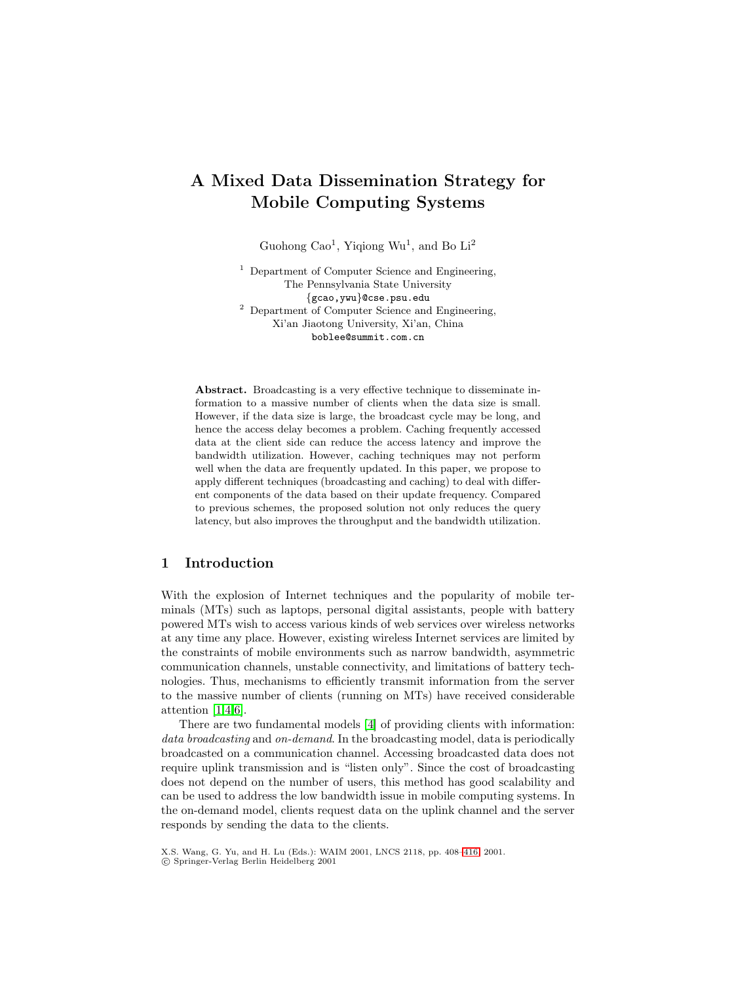# **A Mixed Data Dissemination Strategy for Mobile Computing Systems**

Guohong Cao<sup>1</sup>, Yiqiong Wu<sup>1</sup>, and Bo Li<sup>2</sup>

 $<sup>1</sup>$  Department of Computer Science and Engineering,</sup> The Pennsylvania State University {gcao,ywu}@cse.psu.edu <sup>2</sup> Department of Computer Science and Engineering, Xi'an Jiaotong University, Xi'an, China boblee@summit.com.cn

**Abstract.** Broadcasting is a very effective technique to disseminate information to a massive number of clients when the data size is small. However, if the data size is large, the broadcast cycle may be long, and hence the access delay becomes a problem. Caching frequently accessed data at the client side can reduce the access latency and improve the bandwidth utilization. However, caching techniques may not perform well when the data are frequently updated. In this paper, we propose to apply different techniques (broadcasting and caching) to deal with different components of the data based on their update frequency. Compared to previous schemes, the proposed solution not only reduces the query latency, but also improves the throughput and the bandwidth utilization.

## **1 Introduction**

With the explosion of Internet techniques and the popularity of mobile terminals (MTs) such as laptops, personal digital assistants, people with battery powered MTs wish to access various kinds of web services over wireless networks at any time any place. However, existing wireless Internet services are limited by the constraints of mobile environments such as narrow bandwidth, asymmetric communication channels, unstable connectivity, and limitations of battery technologies. Thus, mechanisms to efficiently transmit information from the server to the massive number of clients (running on MTs) have received considerable attention [\[1,4,6\]](#page-8-0).

There are two fundamental models [\[4\]](#page-8-0) of providing clients with information: data broadcasting and on-demand. In the broadcasting model, data is periodically broadcasted on a communication channel. Accessing broadcasted data does not require uplink transmission and is "listen only". Since the cost of broadcasting does not depend on the number of users, this method has good scalability and can be used to address the low bandwidth issue in mobile computing systems. In the on-demand model, clients request data on the uplink channel and the server responds by sending the data to the clients.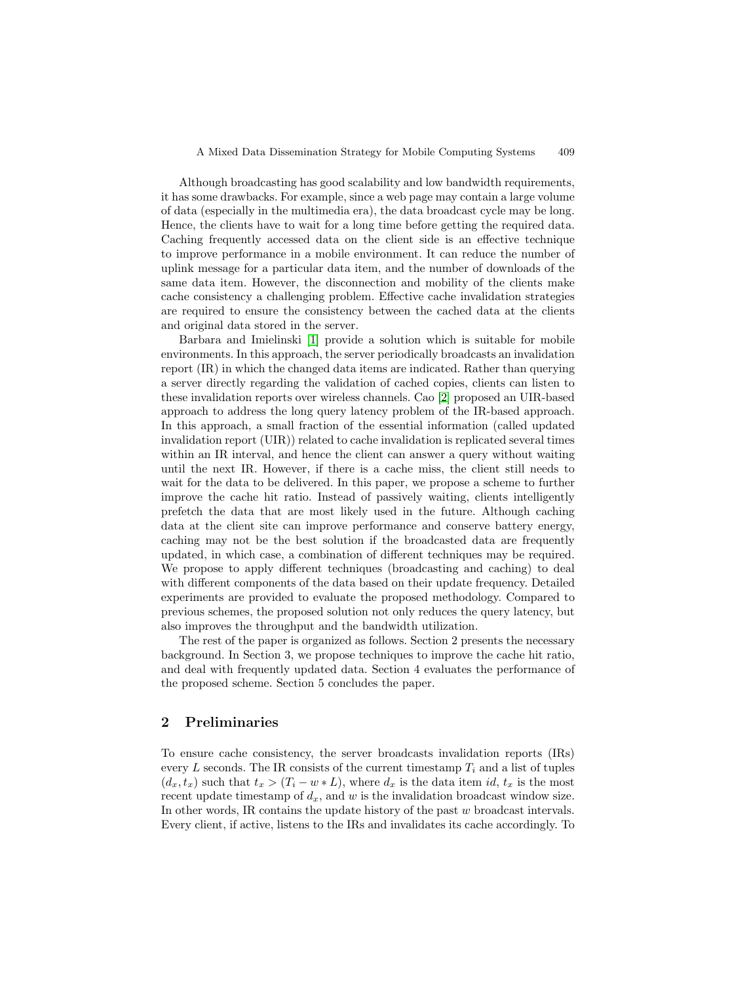Although broadcasting has good scalability and low bandwidth requirements, it has some drawbacks. For example, since a web page may contain a large volume of data (especially in the multimedia era), the data broadcast cycle may be long. Hence, the clients have to wait for a long time before getting the required data. Caching frequently accessed data on the client side is an effective technique to improve performance in a mobile environment. It can reduce the number of uplink message for a particular data item, and the number of downloads of the same data item. However, the disconnection and mobility of the clients make cache consistency a challenging problem. Effective cache invalidation strategies are required to ensure the consistency between the cached data at the clients and original data stored in the server.

Barbara and Imielinski [\[1\]](#page-8-0) provide a solution which is suitable for mobile environments. In this approach, the server periodically broadcasts an invalidation report (IR) in which the changed data items are indicated. Rather than querying a server directly regarding the validation of cached copies, clients can listen to these invalidation reports over wireless channels. Cao [\[2\]](#page-8-0) proposed an UIR-based approach to address the long query latency problem of the IR-based approach. In this approach, a small fraction of the essential information (called updated invalidation report (UIR)) related to cache invalidation is replicated several times within an IR interval, and hence the client can answer a query without waiting until the next IR. However, if there is a cache miss, the client still needs to wait for the data to be delivered. In this paper, we propose a scheme to further improve the cache hit ratio. Instead of passively waiting, clients intelligently prefetch the data that are most likely used in the future. Although caching data at the client site can improve performance and conserve battery energy, caching may not be the best solution if the broadcasted data are frequently updated, in which case, a combination of different techniques may be required. We propose to apply different techniques (broadcasting and caching) to deal with different components of the data based on their update frequency. Detailed experiments are provided to evaluate the proposed methodology. Compared to previous schemes, the proposed solution not only reduces the query latency, but also improves the throughput and the bandwidth utilization.

The rest of the paper is organized as follows. Section 2 presents the necessary background. In Section 3, we propose techniques to improve the cache hit ratio, and deal with frequently updated data. Section 4 evaluates the performance of the proposed scheme. Section 5 concludes the paper.

### **2 Preliminaries**

To ensure cache consistency, the server broadcasts invalidation reports (IRs) every L seconds. The IR consists of the current timestamp  $T_i$  and a list of tuples  $(d_x, t_x)$  such that  $t_x > (T_i - w * L)$ , where  $d_x$  is the data item id,  $t_x$  is the most recent update timestamp of  $d_x$ , and w is the invalidation broadcast window size. In other words, IR contains the update history of the past w broadcast intervals. Every client, if active, listens to the IRs and invalidates its cache accordingly. To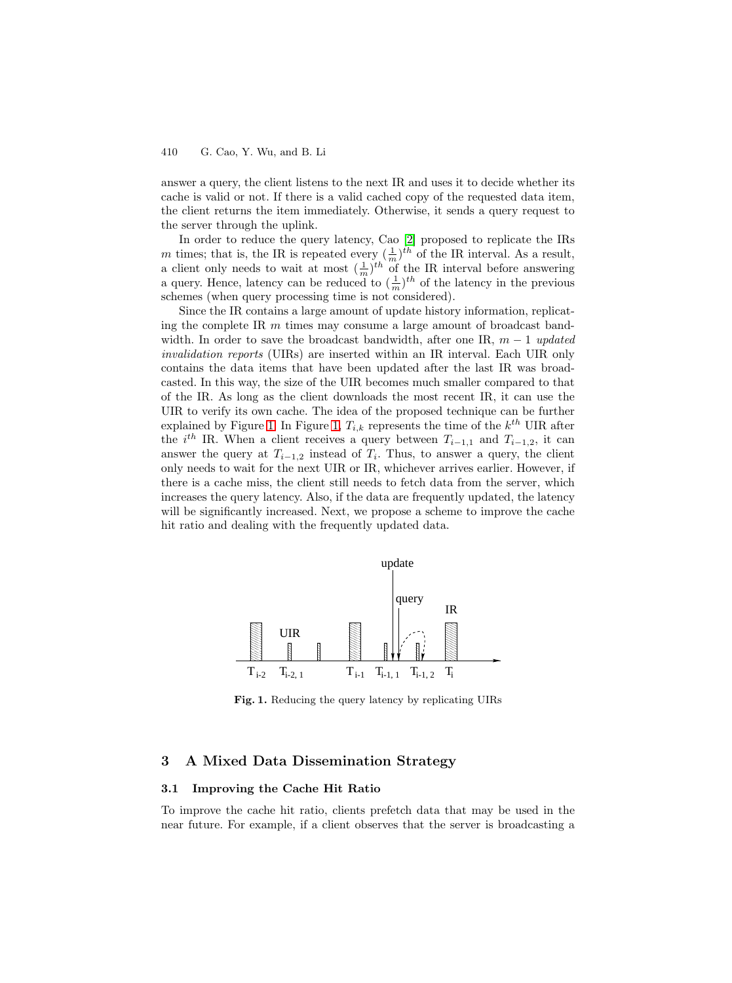answer a query, the client listens to the next IR and uses it to decide whether its cache is valid or not. If there is a valid cached copy of the requested data item, the client returns the item immediately. Otherwise, it sends a query request to the server through the uplink.

In order to reduce the query latency, Cao [\[2\]](#page-8-0) proposed to replicate the IRs m times; that is, the IR is repeated every  $(\frac{1}{m})^{th}$  of the IR interval. As a result, a client only needs to wait at most  $(\frac{1}{m})^{th}$  of the IR interval before answering a query. Hence, latency can be reduced to  $(\frac{1}{m})^{th}$  of the latency in the previous schemes (when query processing time is not considered).

Since the IR contains a large amount of update history information, replicating the complete IR  $m$  times may consume a large amount of broadcast bandwidth. In order to save the broadcast bandwidth, after one IR,  $m-1$  updated invalidation reports (UIRs) are inserted within an IR interval. Each UIR only contains the data items that have been updated after the last IR was broadcasted. In this way, the size of the UIR becomes much smaller compared to that of the IR. As long as the client downloads the most recent IR, it can use the UIR to verify its own cache. The idea of the proposed technique can be further explained by Figure 1. In Figure 1,  $T_{i,k}$  represents the time of the  $k^{th}$  UIR after the  $i^{th}$  IR. When a client receives a query between  $T_{i-1,1}$  and  $T_{i-1,2}$ , it can answer the query at  $T_{i-1,2}$  instead of  $T_i$ . Thus, to answer a query, the client only needs to wait for the next UIR or IR, whichever arrives earlier. However, if there is a cache miss, the client still needs to fetch data from the server, which increases the query latency. Also, if the data are frequently updated, the latency will be significantly increased. Next, we propose a scheme to improve the cache hit ratio and dealing with the frequently updated data.



**Fig. 1.** Reducing the query latency by replicating UIRs

### **3 A Mixed Data Dissemination Strategy**

#### **3.1 Improving the Cache Hit Ratio**

To improve the cache hit ratio, clients prefetch data that may be used in the near future. For example, if a client observes that the server is broadcasting a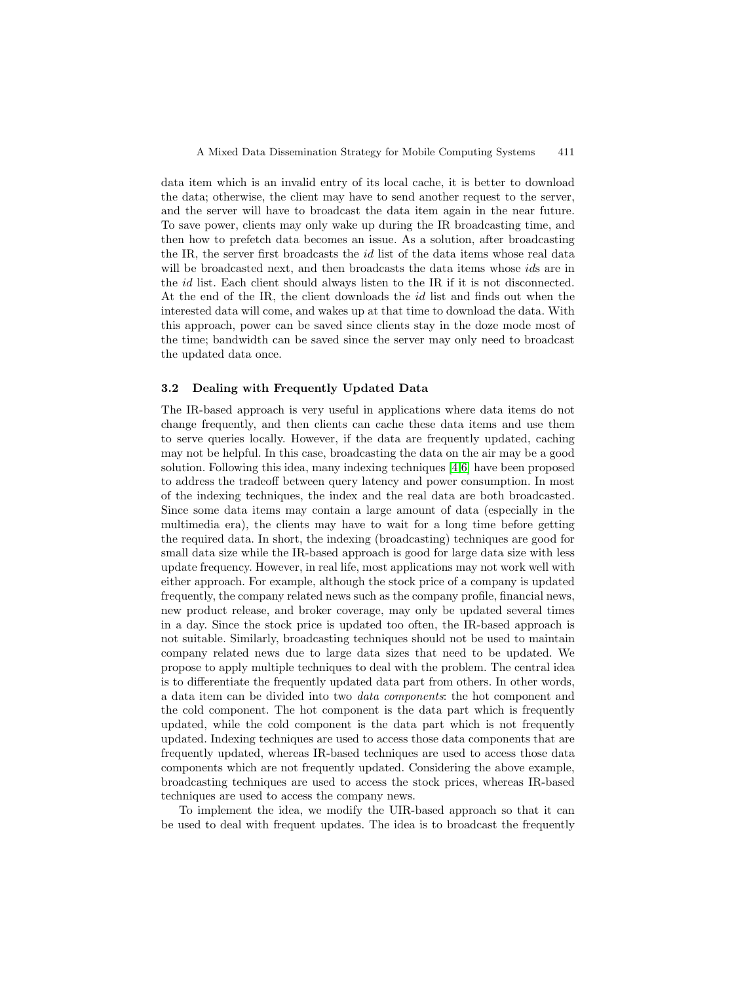data item which is an invalid entry of its local cache, it is better to download the data; otherwise, the client may have to send another request to the server, and the server will have to broadcast the data item again in the near future. To save power, clients may only wake up during the IR broadcasting time, and then how to prefetch data becomes an issue. As a solution, after broadcasting the IR, the server first broadcasts the id list of the data items whose real data will be broadcasted next, and then broadcasts the data items whose *ids* are in the id list. Each client should always listen to the IR if it is not disconnected. At the end of the IR, the client downloads the id list and finds out when the interested data will come, and wakes up at that time to download the data. With this approach, power can be saved since clients stay in the doze mode most of the time; bandwidth can be saved since the server may only need to broadcast the updated data once.

#### **3.2 Dealing with Frequently Updated Data**

The IR-based approach is very useful in applications where data items do not change frequently, and then clients can cache these data items and use them to serve queries locally. However, if the data are frequently updated, caching may not be helpful. In this case, broadcasting the data on the air may be a good solution. Following this idea, many indexing techniques [\[4,6\]](#page-8-0) have been proposed to address the tradeoff between query latency and power consumption. In most of the indexing techniques, the index and the real data are both broadcasted. Since some data items may contain a large amount of data (especially in the multimedia era), the clients may have to wait for a long time before getting the required data. In short, the indexing (broadcasting) techniques are good for small data size while the IR-based approach is good for large data size with less update frequency. However, in real life, most applications may not work well with either approach. For example, although the stock price of a company is updated frequently, the company related news such as the company profile, financial news, new product release, and broker coverage, may only be updated several times in a day. Since the stock price is updated too often, the IR-based approach is not suitable. Similarly, broadcasting techniques should not be used to maintain company related news due to large data sizes that need to be updated. We propose to apply multiple techniques to deal with the problem. The central idea is to differentiate the frequently updated data part from others. In other words, a data item can be divided into two data components: the hot component and the cold component. The hot component is the data part which is frequently updated, while the cold component is the data part which is not frequently updated. Indexing techniques are used to access those data components that are frequently updated, whereas IR-based techniques are used to access those data components which are not frequently updated. Considering the above example, broadcasting techniques are used to access the stock prices, whereas IR-based techniques are used to access the company news.

To implement the idea, we modify the UIR-based approach so that it can be used to deal with frequent updates. The idea is to broadcast the frequently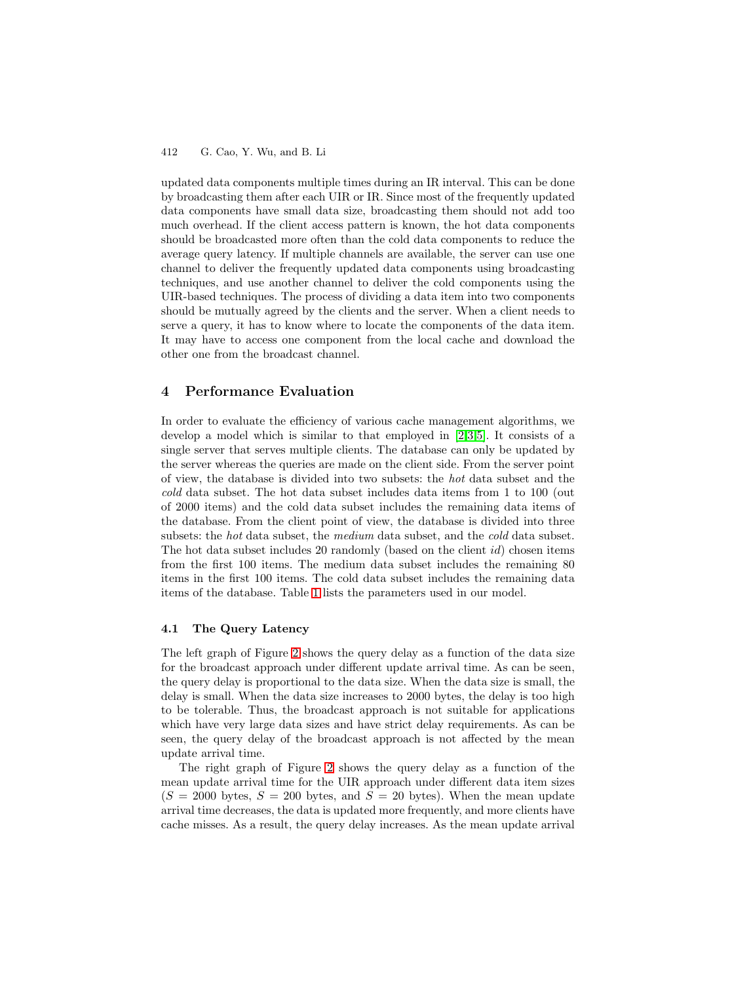updated data components multiple times during an IR interval. This can be done by broadcasting them after each UIR or IR. Since most of the frequently updated data components have small data size, broadcasting them should not add too much overhead. If the client access pattern is known, the hot data components should be broadcasted more often than the cold data components to reduce the average query latency. If multiple channels are available, the server can use one channel to deliver the frequently updated data components using broadcasting techniques, and use another channel to deliver the cold components using the UIR-based techniques. The process of dividing a data item into two components should be mutually agreed by the clients and the server. When a client needs to serve a query, it has to know where to locate the components of the data item. It may have to access one component from the local cache and download the other one from the broadcast channel.

## **4 Performance Evaluation**

In order to evaluate the efficiency of various cache management algorithms, we develop a model which is similar to that employed in [\[2,3,5\]](#page-8-0). It consists of a single server that serves multiple clients. The database can only be updated by the server whereas the queries are made on the client side. From the server point of view, the database is divided into two subsets: the hot data subset and the cold data subset. The hot data subset includes data items from 1 to 100 (out of 2000 items) and the cold data subset includes the remaining data items of the database. From the client point of view, the database is divided into three subsets: the hot data subset, the medium data subset, and the cold data subset. The hot data subset includes 20 randomly (based on the client  $id$ ) chosen items from the first 100 items. The medium data subset includes the remaining 80 items in the first 100 items. The cold data subset includes the remaining data items of the database. Table [1](#page-5-0) lists the parameters used in our model.

### **4.1 The Query Latency**

The left graph of Figure [2](#page-5-0) shows the query delay as a function of the data size for the broadcast approach under different update arrival time. As can be seen, the query delay is proportional to the data size. When the data size is small, the delay is small. When the data size increases to 2000 bytes, the delay is too high to be tolerable. Thus, the broadcast approach is not suitable for applications which have very large data sizes and have strict delay requirements. As can be seen, the query delay of the broadcast approach is not affected by the mean update arrival time.

The right graph of Figure [2](#page-5-0) shows the query delay as a function of the mean update arrival time for the UIR approach under different data item sizes  $(S = 2000$  bytes,  $S = 200$  bytes, and  $S = 20$  bytes). When the mean update arrival time decreases, the data is updated more frequently, and more clients have cache misses. As a result, the query delay increases. As the mean update arrival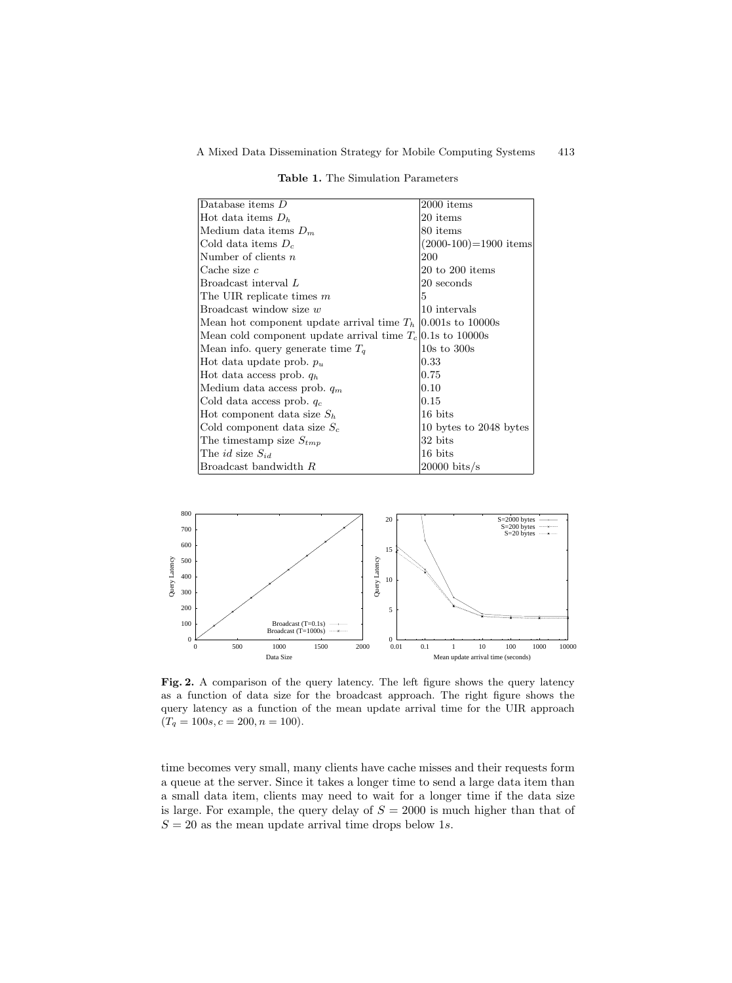<span id="page-5-0"></span>

| Database items $D$                                           | $2000$ items               |
|--------------------------------------------------------------|----------------------------|
| Hot data items $D_h$                                         | 20 items                   |
| Medium data items $D_m$                                      | 80 items                   |
| Cold data items $D_c$                                        | $(2000-100)=1900$ items    |
| Number of clients $n$                                        | 200                        |
| Cache size $c$                                               | $20$ to $200$ items        |
| Broadcast interval L                                         | $20$ seconds               |
| The UIR replicate times $m$                                  | 5                          |
| Broadcast window size $w$                                    | 10 intervals               |
| Mean hot component update arrival time $T_h$                 | 0.001s to 10000s           |
| Mean cold component update arrival time $T_c$ 0.1s to 10000s |                            |
| Mean info. query generate time $T_a$                         | $10s$ to $300s$            |
| Hot data update prob. $p_u$                                  | 0.33                       |
| Hot data access prob. $q_h$                                  | 0.75                       |
| Medium data access prob. $q_m$                               | 0.10                       |
| Cold data access prob. $q_c$                                 | 0.15                       |
| Hot component data size $S_h$                                | 16 bits                    |
| Cold component data size $S_c$                               | 10 bytes to 2048 bytes     |
| The timestamp size $S_{tmp}$                                 | 32 bits                    |
| The <i>id</i> size $S_{id}$                                  | 16 bits                    |
| Broadcast bandwidth R                                        | $20000 \; \mathrm{bits/s}$ |

**Table 1.** The Simulation Parameters



**Fig. 2.** A comparison of the query latency. The left figure shows the query latency as a function of data size for the broadcast approach. The right figure shows the query latency as a function of the mean update arrival time for the UIR approach  $(T_q = 100s, c = 200, n = 100).$ 

time becomes very small, many clients have cache misses and their requests form a queue at the server. Since it takes a longer time to send a large data item than a small data item, clients may need to wait for a longer time if the data size is large. For example, the query delay of  $S = 2000$  is much higher than that of  $S = 20$  as the mean update arrival time drops below 1s.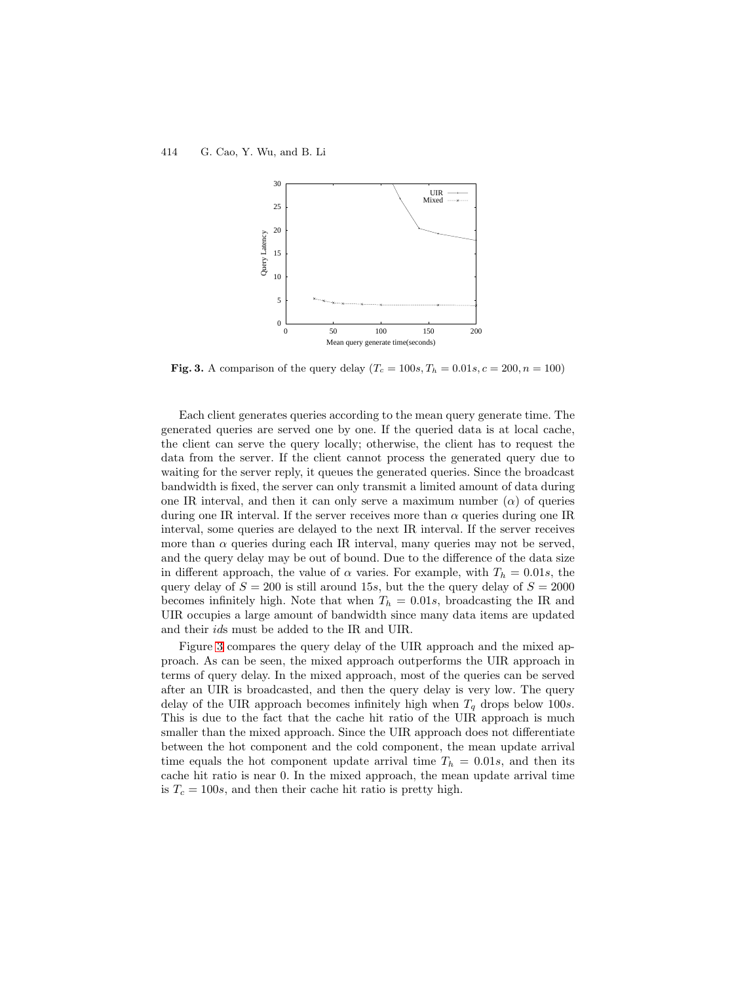

**Fig. 3.** A comparison of the query delay  $(T_c = 100s, T_h = 0.01s, c = 200, n = 100)$ 

Each client generates queries according to the mean query generate time. The generated queries are served one by one. If the queried data is at local cache, the client can serve the query locally; otherwise, the client has to request the data from the server. If the client cannot process the generated query due to waiting for the server reply, it queues the generated queries. Since the broadcast bandwidth is fixed, the server can only transmit a limited amount of data during one IR interval, and then it can only serve a maximum number  $(\alpha)$  of queries during one IR interval. If the server receives more than  $\alpha$  queries during one IR interval, some queries are delayed to the next IR interval. If the server receives more than  $\alpha$  queries during each IR interval, many queries may not be served, and the query delay may be out of bound. Due to the difference of the data size in different approach, the value of  $\alpha$  varies. For example, with  $T_h = 0.01s$ , the query delay of  $S = 200$  is still around 15s, but the the query delay of  $S = 2000$ becomes infinitely high. Note that when  $T_h = 0.01s$ , broadcasting the IR and UIR occupies a large amount of bandwidth since many data items are updated and their ids must be added to the IR and UIR.

Figure 3 compares the query delay of the UIR approach and the mixed approach. As can be seen, the mixed approach outperforms the UIR approach in terms of query delay. In the mixed approach, most of the queries can be served after an UIR is broadcasted, and then the query delay is very low. The query delay of the UIR approach becomes infinitely high when  $T_q$  drops below 100s. This is due to the fact that the cache hit ratio of the UIR approach is much smaller than the mixed approach. Since the UIR approach does not differentiate between the hot component and the cold component, the mean update arrival time equals the hot component update arrival time  $T_h = 0.01s$ , and then its cache hit ratio is near 0. In the mixed approach, the mean update arrival time is  $T_c = 100s$ , and then their cache hit ratio is pretty high.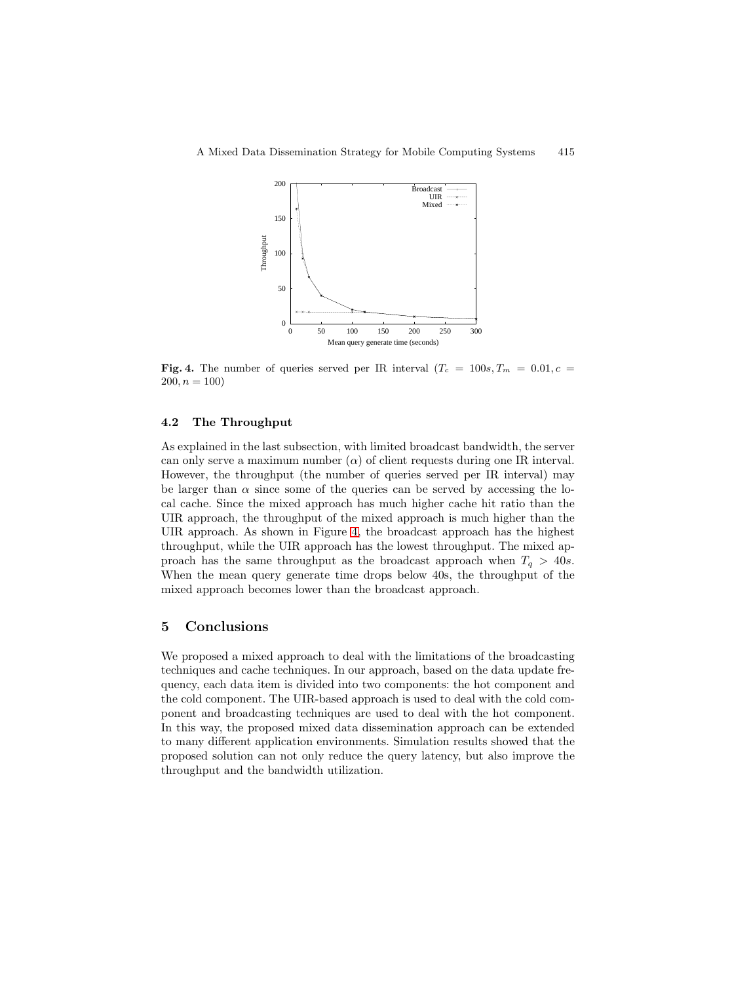

**Fig. 4.** The number of queries served per IR interval  $(T_c = 100s, T_m = 0.01, c =$  $200, n = 100$ 

#### **4.2 The Throughput**

As explained in the last subsection, with limited broadcast bandwidth, the server can only serve a maximum number  $(\alpha)$  of client requests during one IR interval. However, the throughput (the number of queries served per IR interval) may be larger than  $\alpha$  since some of the queries can be served by accessing the local cache. Since the mixed approach has much higher cache hit ratio than the UIR approach, the throughput of the mixed approach is much higher than the UIR approach. As shown in Figure 4, the broadcast approach has the highest throughput, while the UIR approach has the lowest throughput. The mixed approach has the same throughput as the broadcast approach when  $T_q > 40s$ . When the mean query generate time drops below 40s, the throughput of the mixed approach becomes lower than the broadcast approach.

### **5 Conclusions**

We proposed a mixed approach to deal with the limitations of the broadcasting techniques and cache techniques. In our approach, based on the data update frequency, each data item is divided into two components: the hot component and the cold component. The UIR-based approach is used to deal with the cold component and broadcasting techniques are used to deal with the hot component. In this way, the proposed mixed data dissemination approach can be extended to many different application environments. Simulation results showed that the proposed solution can not only reduce the query latency, but also improve the throughput and the bandwidth utilization.